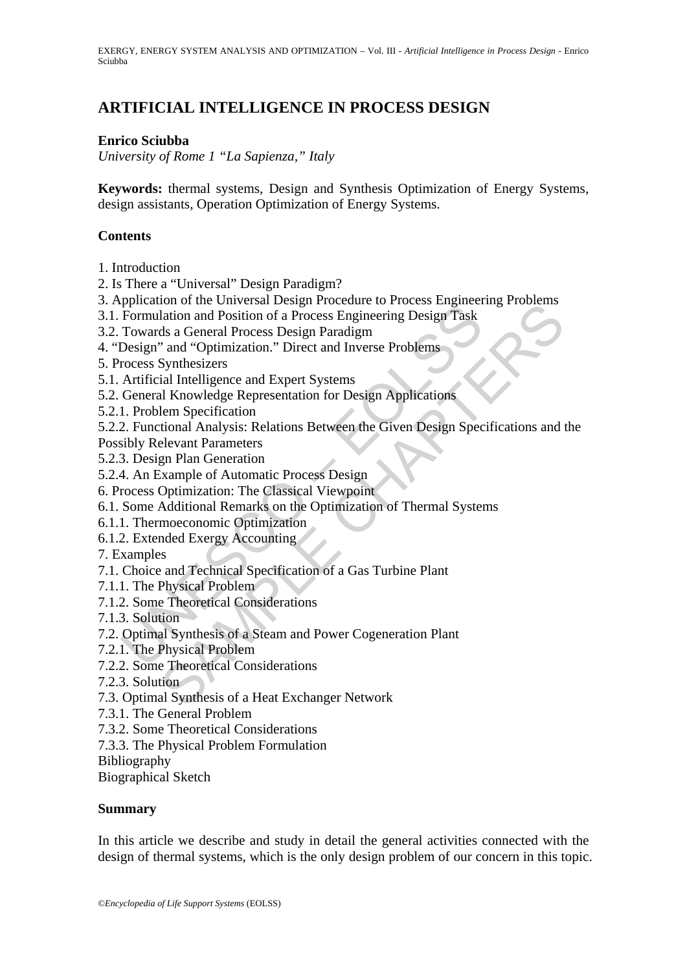EXERGY, ENERGY SYSTEM ANALYSIS AND OPTIMIZATION – Vol. III - *Artificial Intelligence in Process Design* - Enrico Sciubba

# **ARTIFICIAL INTELLIGENCE IN PROCESS DESIGN**

#### **Enrico Sciubba**

*University of Rome 1 "La Sapienza," Italy* 

**Keywords:** thermal systems, Design and Synthesis Optimization of Energy Systems, design assistants, Operation Optimization of Energy Systems.

#### **Contents**

- 1. Introduction
- 2. Is There a "Universal" Design Paradigm?
- 3. Application of the Universal Design Procedure to Process Engineering Problems
- 3.1. Formulation and Position of a Process Engineering Design Task
- 3.2. Towards a General Process Design Paradigm
- 4. "Design" and "Optimization." Direct and Inverse Problems
- 5. Process Synthesizers
- 5.1. Artificial Intelligence and Expert Systems
- 5.2. General Knowledge Representation for Design Applications
- 5.2.1. Problem Specification
- noto the Conversal Design incoclean<br>and an Position of a Process Engineering Design Task<br>data Charlest Design Cases Engineering Design Task<br>ds a General Process Design Paradigm<br>and "Optimization." Direct and Inverse Proble 5.2.2. Functional Analysis: Relations Between the Given Design Specifications and the
- Possibly Relevant Parameters
- 5.2.3. Design Plan Generation
- 5.2.4. An Example of Automatic Process Design
- 6. Process Optimization: The Classical Viewpoint
- Formulation and Position of a Process Engineering Design<br>Formulation and Position of a Process Engineering Design Task<br>Towards a General Process Design Paradigm<br>Design" and "Optimization." Direct and Inverse Problems<br>roces 6.1. Some Additional Remarks on the Optimization of Thermal Systems
- 6.1.1. Thermoeconomic Optimization
- 6.1.2. Extended Exergy Accounting
- 7. Examples
- 7.1. Choice and Technical Specification of a Gas Turbine Plant
- 7.1.1. The Physical Problem
- 7.1.2. Some Theoretical Considerations
- 7.1.3. Solution
- 7.2. Optimal Synthesis of a Steam and Power Cogeneration Plant
- 7.2.1. The Physical Problem
- 7.2.2. Some Theoretical Considerations
- 7.2.3. Solution
- 7.3. Optimal Synthesis of a Heat Exchanger Network
- 7.3.1. The General Problem
- 7.3.2. Some Theoretical Considerations
- 7.3.3. The Physical Problem Formulation

Bibliography

Biographical Sketch

#### **Summary**

In this article we describe and study in detail the general activities connected with the design of thermal systems, which is the only design problem of our concern in this topic.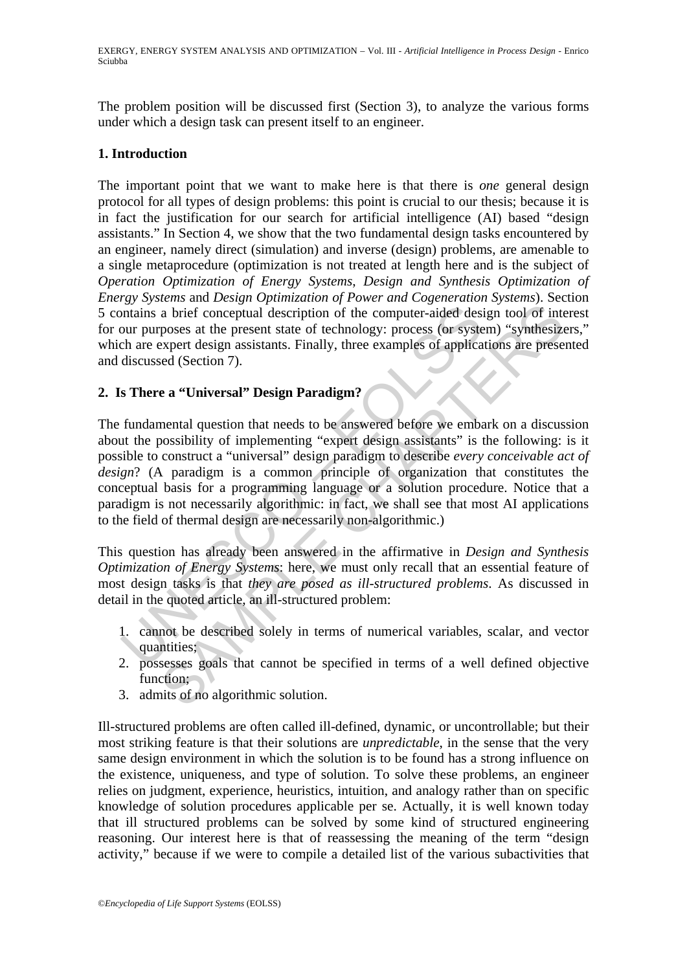The problem position will be discussed first (Section 3), to analyze the various forms under which a design task can present itself to an engineer.

# **1. Introduction**

The important point that we want to make here is that there is *one* general design protocol for all types of design problems: this point is crucial to our thesis; because it is in fact the justification for our search for artificial intelligence (AI) based "design assistants." In Section 4, we show that the two fundamental design tasks encountered by an engineer, namely direct (simulation) and inverse (design) problems, are amenable to a single metaprocedure (optimization is not treated at length here and is the subject of *Operation Optimization of Energy Systems*, *Design and Synthesis Optimization of Energy Systems* and *Design Optimization of Power and Cogeneration Systems*). Section 5 contains a brief conceptual description of the computer-aided design tool of interest for our purposes at the present state of technology: process (or system) "synthesizers," which are expert design assistants. Finally, three examples of applications are presented and discussed (Section 7).

# **2. Is There a "Universal" Design Paradigm?**

intialis a brief conceptual description of the computer-aided desi<br>our purposes at the present state of technology: process (or systech are expert design assistants. Finally, three examples of applica<br>discussed (Section 7 a brief conceptual description of the computer-aided design tool of interposes at the present state of technology: process (or system) "synthesize expert design assistants. Finally, three examples of applications are pres The fundamental question that needs to be answered before we embark on a discussion about the possibility of implementing "expert design assistants" is the following: is it possible to construct a "universal" design paradigm to describe *every conceivable act of design*? (A paradigm is a common principle of organization that constitutes the conceptual basis for a programming language or a solution procedure. Notice that a paradigm is not necessarily algorithmic: in fact, we shall see that most AI applications to the field of thermal design are necessarily non-algorithmic.)

This question has already been answered in the affirmative in *Design and Synthesis Optimization of Energy Systems*: here, we must only recall that an essential feature of most design tasks is that *they are posed as ill-structured problems*. As discussed in detail in the quoted article, an ill-structured problem:

- 1. cannot be described solely in terms of numerical variables, scalar, and vector quantities;
- 2. possesses goals that cannot be specified in terms of a well defined objective function:
- 3. admits of no algorithmic solution.

Ill-structured problems are often called ill-defined, dynamic, or uncontrollable; but their most striking feature is that their solutions are *unpredictable*, in the sense that the very same design environment in which the solution is to be found has a strong influence on the existence, uniqueness, and type of solution. To solve these problems, an engineer relies on judgment, experience, heuristics, intuition, and analogy rather than on specific knowledge of solution procedures applicable per se. Actually, it is well known today that ill structured problems can be solved by some kind of structured engineering reasoning. Our interest here is that of reassessing the meaning of the term "design activity," because if we were to compile a detailed list of the various subactivities that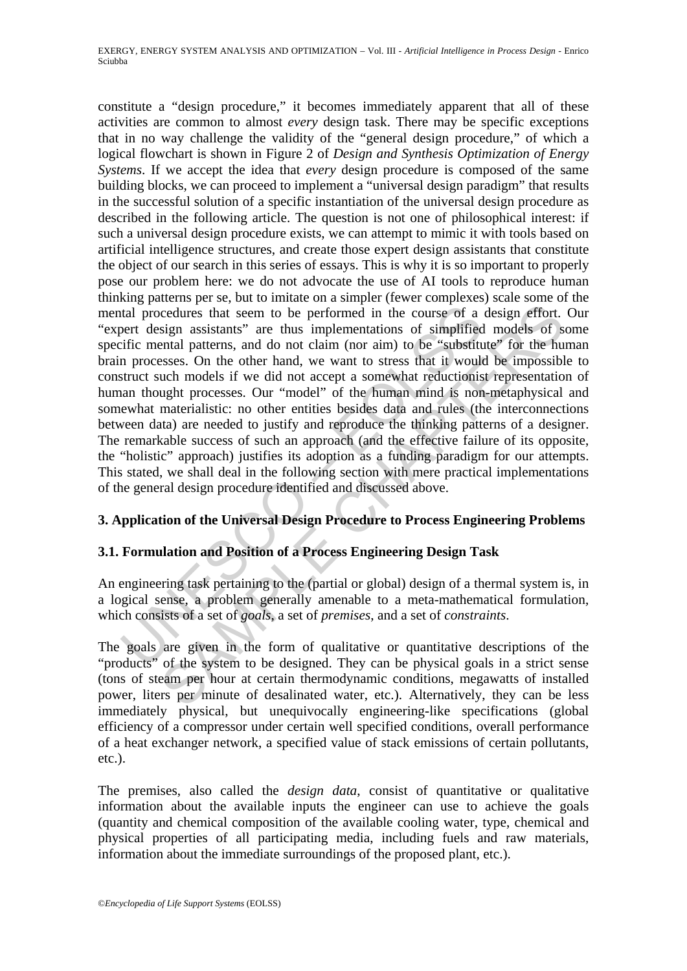tal procedures that seem to be performed in the course of a<br>pert design assistants" are thus implementations of simplified<br>iffic mental patterns, and do not claim (nor aim) to be "substitt<br>n processes. On the other hand, endures that seem to be performed in the course of a design effort.<br>Sign assistants" are thus implementations of simplified models of s<br>rental patterns, and do not claim (nor aim) to be "substitute" for the hu<br>sesses. On t constitute a "design procedure," it becomes immediately apparent that all of these activities are common to almost *every* design task. There may be specific exceptions that in no way challenge the validity of the "general design procedure," of which a logical flowchart is shown in Figure 2 of *Design and Synthesis Optimization of Energy Systems*. If we accept the idea that *every* design procedure is composed of the same building blocks, we can proceed to implement a "universal design paradigm" that results in the successful solution of a specific instantiation of the universal design procedure as described in the following article. The question is not one of philosophical interest: if such a universal design procedure exists, we can attempt to mimic it with tools based on artificial intelligence structures, and create those expert design assistants that constitute the object of our search in this series of essays. This is why it is so important to properly pose our problem here: we do not advocate the use of AI tools to reproduce human thinking patterns per se, but to imitate on a simpler (fewer complexes) scale some of the mental procedures that seem to be performed in the course of a design effort. Our "expert design assistants" are thus implementations of simplified models of some specific mental patterns, and do not claim (nor aim) to be "substitute" for the human brain processes. On the other hand, we want to stress that it would be impossible to construct such models if we did not accept a somewhat reductionist representation of human thought processes. Our "model" of the human mind is non-metaphysical and somewhat materialistic: no other entities besides data and rules (the interconnections between data) are needed to justify and reproduce the thinking patterns of a designer. The remarkable success of such an approach (and the effective failure of its opposite, the "holistic" approach) justifies its adoption as a funding paradigm for our attempts. This stated, we shall deal in the following section with mere practical implementations of the general design procedure identified and discussed above.

### **3. Application of the Universal Design Procedure to Process Engineering Problems**

# **3.1. Formulation and Position of a Process Engineering Design Task**

An engineering task pertaining to the (partial or global) design of a thermal system is, in a logical sense, a problem generally amenable to a meta-mathematical formulation, which consists of a set of *goals*, a set of *premises*, and a set of *constraints*.

The goals are given in the form of qualitative or quantitative descriptions of the "products" of the system to be designed. They can be physical goals in a strict sense (tons of steam per hour at certain thermodynamic conditions, megawatts of installed power, liters per minute of desalinated water, etc.). Alternatively, they can be less immediately physical, but unequivocally engineering-like specifications (global efficiency of a compressor under certain well specified conditions, overall performance of a heat exchanger network, a specified value of stack emissions of certain pollutants, etc.).

The premises, also called the *design data*, consist of quantitative or qualitative information about the available inputs the engineer can use to achieve the goals (quantity and chemical composition of the available cooling water, type, chemical and physical properties of all participating media, including fuels and raw materials, information about the immediate surroundings of the proposed plant, etc.).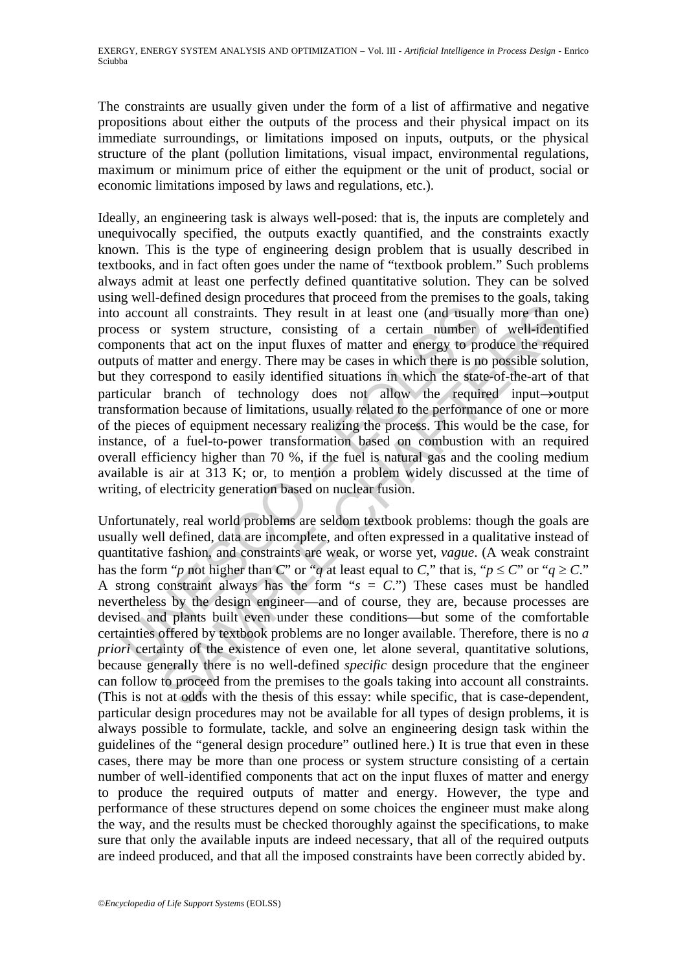The constraints are usually given under the form of a list of affirmative and negative propositions about either the outputs of the process and their physical impact on its immediate surroundings, or limitations imposed on inputs, outputs, or the physical structure of the plant (pollution limitations, visual impact, environmental regulations, maximum or minimum price of either the equipment or the unit of product, social or economic limitations imposed by laws and regulations, etc.).

account all constraints. They result in at least one (and usual<br>ress or system structure, consisting of a certain number<br>pronents that act on the input fluxes of matter and energy to pro-<br>unus of matter and energy. There In all constraints. They result in at least one (and usually more than r system structure, consisting of a certain number of well-identified sthat act on the input fluxes of mater and energy to produce the required matter Ideally, an engineering task is always well-posed: that is, the inputs are completely and unequivocally specified, the outputs exactly quantified, and the constraints exactly known. This is the type of engineering design problem that is usually described in textbooks, and in fact often goes under the name of "textbook problem." Such problems always admit at least one perfectly defined quantitative solution. They can be solved using well-defined design procedures that proceed from the premises to the goals, taking into account all constraints. They result in at least one (and usually more than one) process or system structure, consisting of a certain number of well-identified components that act on the input fluxes of matter and energy to produce the required outputs of matter and energy. There may be cases in which there is no possible solution, but they correspond to easily identified situations in which the state-of-the-art of that particular branch of technology does not allow the required input→output transformation because of limitations, usually related to the performance of one or more of the pieces of equipment necessary realizing the process. This would be the case, for instance, of a fuel-to-power transformation based on combustion with an required overall efficiency higher than 70 %, if the fuel is natural gas and the cooling medium available is air at 313 K; or, to mention a problem widely discussed at the time of writing, of electricity generation based on nuclear fusion.

Unfortunately, real world problems are seldom textbook problems: though the goals are usually well defined, data are incomplete, and often expressed in a qualitative instead of quantitative fashion, and constraints are weak, or worse yet, *vague*. (A weak constraint has the form "*p* not higher than *C*" or "*q* at least equal to *C*," that is, " $p \le C$ " or " $q \ge C$ ." A strong constraint always has the form " $s = C$ .") These cases must be handled nevertheless by the design engineer—and of course, they are, because processes are devised and plants built even under these conditions—but some of the comfortable certainties offered by textbook problems are no longer available. Therefore, there is no *a priori* certainty of the existence of even one, let alone several, quantitative solutions, because generally there is no well-defined *specific* design procedure that the engineer can follow to proceed from the premises to the goals taking into account all constraints. (This is not at odds with the thesis of this essay: while specific, that is case-dependent, particular design procedures may not be available for all types of design problems, it is always possible to formulate, tackle, and solve an engineering design task within the guidelines of the "general design procedure" outlined here.) It is true that even in these cases, there may be more than one process or system structure consisting of a certain number of well-identified components that act on the input fluxes of matter and energy to produce the required outputs of matter and energy. However, the type and performance of these structures depend on some choices the engineer must make along the way, and the results must be checked thoroughly against the specifications, to make sure that only the available inputs are indeed necessary, that all of the required outputs are indeed produced, and that all the imposed constraints have been correctly abided by.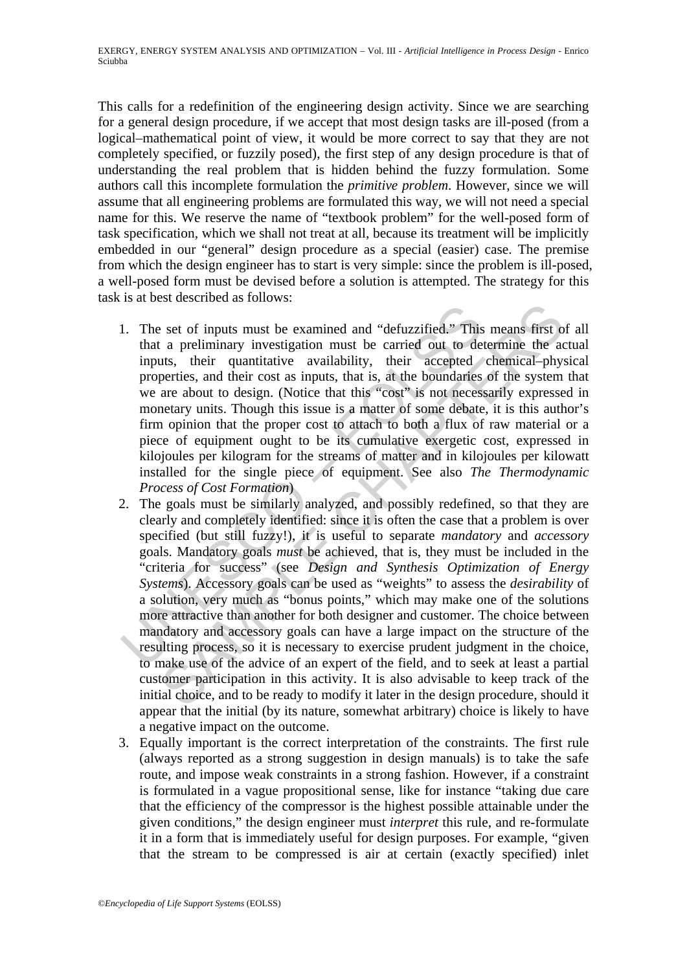This calls for a redefinition of the engineering design activity. Since we are searching for a general design procedure, if we accept that most design tasks are ill-posed (from a logical–mathematical point of view, it would be more correct to say that they are not completely specified, or fuzzily posed), the first step of any design procedure is that of understanding the real problem that is hidden behind the fuzzy formulation. Some authors call this incomplete formulation the *primitive problem*. However, since we will assume that all engineering problems are formulated this way, we will not need a special name for this. We reserve the name of "textbook problem" for the well-posed form of task specification, which we shall not treat at all, because its treatment will be implicitly embedded in our "general" design procedure as a special (easier) case. The premise from which the design engineer has to start is very simple: since the problem is ill-posed, a well-posed form must be devised before a solution is attempted. The strategy for this task is at best described as follows:

- 1. The set of inputs must be examined and "defuzzified." This<br>that a preliminary investigation must be carried out to de<br>inputs, their quantitative availability, their accepted<br>properties, and their cost as inputs, that i 1. The set of inputs must be examined and "defuzzified." This means first of all that a preliminary investigation must be carried out to determine the actual inputs, their quantitative availability, their accepted chemical–physical properties, and their cost as inputs, that is, at the boundaries of the system that we are about to design. (Notice that this "cost" is not necessarily expressed in monetary units. Though this issue is a matter of some debate, it is this author's firm opinion that the proper cost to attach to both a flux of raw material or a piece of equipment ought to be its cumulative exergetic cost, expressed in kilojoules per kilogram for the streams of matter and in kilojoules per kilowatt installed for the single piece of equipment. See also *The Thermodynamic Process of Cost Formation*)
- Example 18 are thinking the examined and "defuzzified." This means first a preliminary investigation must be carried out to determine the a cuts, their quantitative availability, their accepted chemical phyperties, and th 2. The goals must be similarly analyzed, and possibly redefined, so that they are clearly and completely identified: since it is often the case that a problem is over specified (but still fuzzy!), it is useful to separate *mandatory* and *accessory* goals. Mandatory goals *must* be achieved, that is, they must be included in the "criteria for success" (see *Design and Synthesis Optimization of Energy Systems*). Accessory goals can be used as "weights" to assess the *desirability* of a solution, very much as "bonus points," which may make one of the solutions more attractive than another for both designer and customer. The choice between mandatory and accessory goals can have a large impact on the structure of the resulting process, so it is necessary to exercise prudent judgment in the choice, to make use of the advice of an expert of the field, and to seek at least a partial customer participation in this activity. It is also advisable to keep track of the initial choice, and to be ready to modify it later in the design procedure, should it appear that the initial (by its nature, somewhat arbitrary) choice is likely to have a negative impact on the outcome.
- 3. Equally important is the correct interpretation of the constraints. The first rule (always reported as a strong suggestion in design manuals) is to take the safe route, and impose weak constraints in a strong fashion. However, if a constraint is formulated in a vague propositional sense, like for instance "taking due care that the efficiency of the compressor is the highest possible attainable under the given conditions," the design engineer must *interpret* this rule, and re-formulate it in a form that is immediately useful for design purposes. For example, "given that the stream to be compressed is air at certain (exactly specified) inlet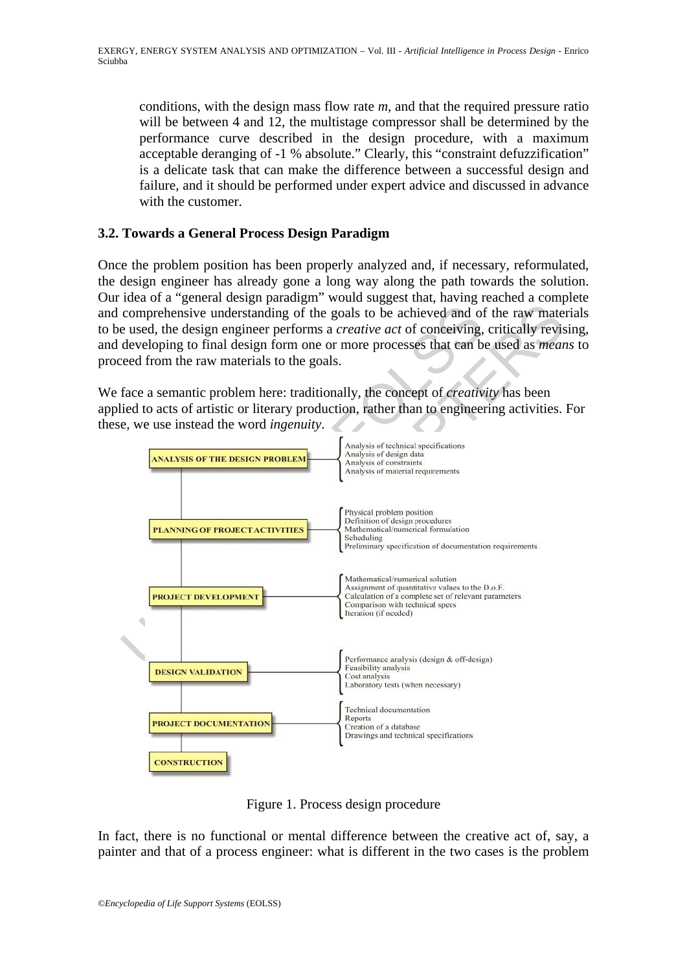conditions, with the design mass flow rate *m*, and that the required pressure ratio will be between 4 and 12, the multistage compressor shall be determined by the performance curve described in the design procedure, with a maximum acceptable deranging of -1 % absolute." Clearly, this "constraint defuzzification" is a delicate task that can make the difference between a successful design and failure, and it should be performed under expert advice and discussed in advance with the customer.

### **3.2. Towards a General Process Design Paradigm**

Once the problem position has been properly analyzed and, if necessary, reformulated, the design engineer has already gone a long way along the path towards the solution. Our idea of a "general design paradigm" would suggest that, having reached a complete and comprehensive understanding of the goals to be achieved and of the raw materials to be used, the design engineer performs a *creative act* of conceiving, critically revising, and developing to final design form one or more processes that can be used as *means* to proceed from the raw materials to the goals.

We face a semantic problem here: traditionally, the concept of *creativity* has been applied to acts of artistic or literary production, rather than to engineering activities. For these, we use instead the word *ingenuity*.



Figure 1. Process design procedure

In fact, there is no functional or mental difference between the creative act of, say, a painter and that of a process engineer: what is different in the two cases is the problem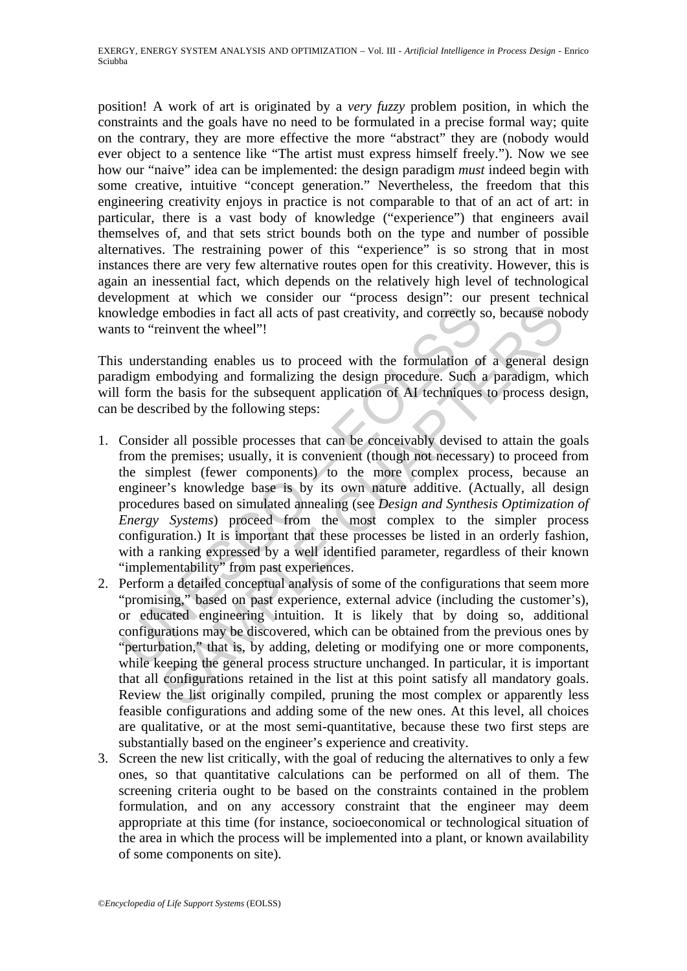position! A work of art is originated by a *very fuzzy* problem position, in which the constraints and the goals have no need to be formulated in a precise formal way; quite on the contrary, they are more effective the more "abstract" they are (nobody would ever object to a sentence like "The artist must express himself freely."). Now we see how our "naive" idea can be implemented: the design paradigm *must* indeed begin with some creative, intuitive "concept generation." Nevertheless, the freedom that this engineering creativity enjoys in practice is not comparable to that of an act of art: in particular, there is a vast body of knowledge ("experience") that engineers avail themselves of, and that sets strict bounds both on the type and number of possible alternatives. The restraining power of this "experience" is so strong that in most instances there are very few alternative routes open for this creativity. However, this is again an inessential fact, which depends on the relatively high level of technological development at which we consider our "process design": our present technical knowledge embodies in fact all acts of past creativity, and correctly so, because nobody wants to "reinvent the wheel"!

This understanding enables us to proceed with the formulation of a general design paradigm embodying and formalizing the design procedure. Such a paradigm, which will form the basis for the subsequent application of AI techniques to process design, can be described by the following steps:

- wledge embodies in fact all acts of past creativity, and correctly sts to "reinvent the wheel"!<br>
su derstanding enables us to proceed with the formulation of<br>
didigm embodying and formalizing the design procedure. Such a<br> embodies in fact all acts of past creativity, and correctly so, because not<br>embodies in fact all acts of past creativity, and correctly so, because not<br>einvent the wheel"!<br>standing enables us to proceed with the formulatio 1. Consider all possible processes that can be conceivably devised to attain the goals from the premises; usually, it is convenient (though not necessary) to proceed from the simplest (fewer components) to the more complex process, because an engineer's knowledge base is by its own nature additive. (Actually, all design procedures based on simulated annealing (see *Design and Synthesis Optimization of Energy Systems*) proceed from the most complex to the simpler process configuration.) It is important that these processes be listed in an orderly fashion, with a ranking expressed by a well identified parameter, regardless of their known "implementability" from past experiences.
- 2. Perform a detailed conceptual analysis of some of the configurations that seem more "promising," based on past experience, external advice (including the customer's), or educated engineering intuition. It is likely that by doing so, additional configurations may be discovered, which can be obtained from the previous ones by "perturbation," that is, by adding, deleting or modifying one or more components, while keeping the general process structure unchanged. In particular, it is important that all configurations retained in the list at this point satisfy all mandatory goals. Review the list originally compiled, pruning the most complex or apparently less feasible configurations and adding some of the new ones. At this level, all choices are qualitative, or at the most semi-quantitative, because these two first steps are substantially based on the engineer's experience and creativity.
- 3. Screen the new list critically, with the goal of reducing the alternatives to only a few ones, so that quantitative calculations can be performed on all of them. The screening criteria ought to be based on the constraints contained in the problem formulation, and on any accessory constraint that the engineer may deem appropriate at this time (for instance, socioeconomical or technological situation of the area in which the process will be implemented into a plant, or known availability of some components on site).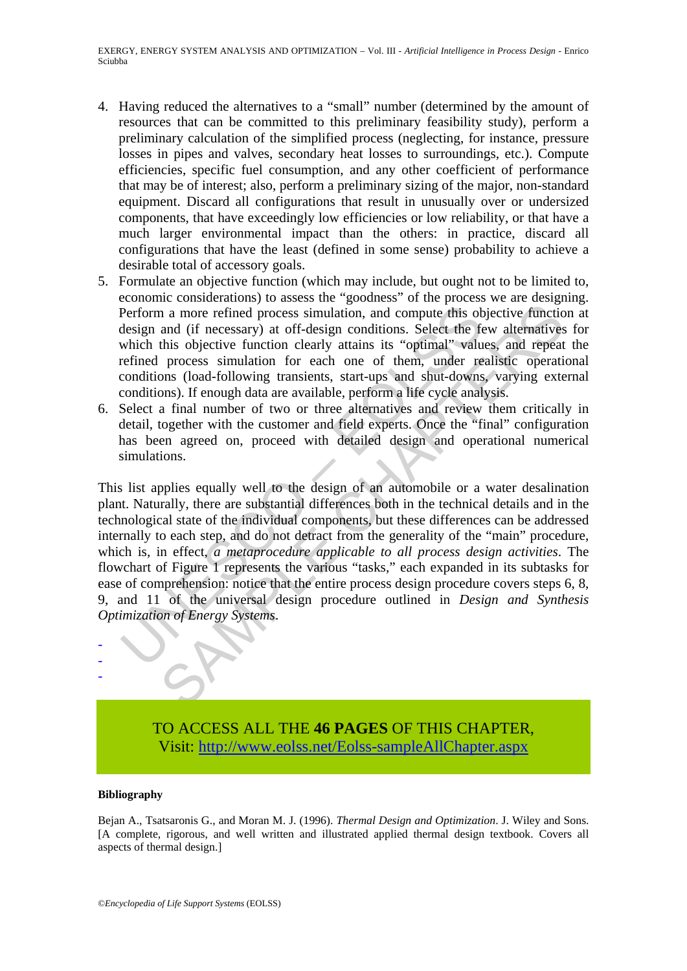EXERGY, ENERGY SYSTEM ANALYSIS AND OPTIMIZATION – Vol. III - *Artificial Intelligence in Process Design* - Enrico Sciubba

- 4. Having reduced the alternatives to a "small" number (determined by the amount of resources that can be committed to this preliminary feasibility study), perform a preliminary calculation of the simplified process (neglecting, for instance, pressure losses in pipes and valves, secondary heat losses to surroundings, etc.). Compute efficiencies, specific fuel consumption, and any other coefficient of performance that may be of interest; also, perform a preliminary sizing of the major, non-standard equipment. Discard all configurations that result in unusually over or undersized components, that have exceedingly low efficiencies or low reliability, or that have a much larger environmental impact than the others: in practice, discard all configurations that have the least (defined in some sense) probability to achieve a desirable total of accessory goals.
- 5. Formulate an objective function (which may include, but ought not to be limited to, economic considerations) to assess the "goodness" of the process we are designing. Perform a more refined process simulation, and compute this objective function at design and (if necessary) at off-design conditions. Select the few alternatives for which this objective function clearly attains its "optimal" values, and repeat the refined process simulation for each one of them, under realistic operational conditions (load-following transients, start-ups and shut-downs, varying external conditions). If enough data are available, perform a life cycle analysis.
- 6. Select a final number of two or three alternatives and review them critically in detail, together with the customer and field experts. Once the "final" configuration has been agreed on, proceed with detailed design and operational numerical simulations.

Perform a more refined process simulation, and compute this obesign and (if necessary) at off-design conditions. Select the few hich this objective function clearly attains its "optimal" value refined process simulation fo in a more refined process simulation, and compute this objective function and (if necessary) at off-design conditions. Select the few alternatives this objective function clearly attains in single modificant in the parame This list applies equally well to the design of an automobile or a water desalination plant. Naturally, there are substantial differences both in the technical details and in the technological state of the individual components, but these differences can be addressed internally to each step, and do not detract from the generality of the "main" procedure, which is, in effect, *a metaprocedure applicable to all process design activities*. The flowchart of Figure 1 represents the various "tasks," each expanded in its subtasks for ease of comprehension: notice that the entire process design procedure covers steps 6, 8, 9, and 11 of the universal design procedure outlined in *Design and Synthesis Optimization of Energy Systems*.

> TO ACCESS ALL THE **46 PAGES** OF THIS CHAPTER, Visit[: http://www.eolss.net/Eolss-sampleAllChapter.aspx](https://www.eolss.net/ebooklib/sc_cart.aspx?File=E3-19-04-05)

#### **Bibliography**

- - -

Bejan A., Tsatsaronis G., and Moran M. J. (1996). *Thermal Design and Optimization*. J. Wiley and Sons. [A complete, rigorous, and well written and illustrated applied thermal design textbook. Covers all aspects of thermal design.]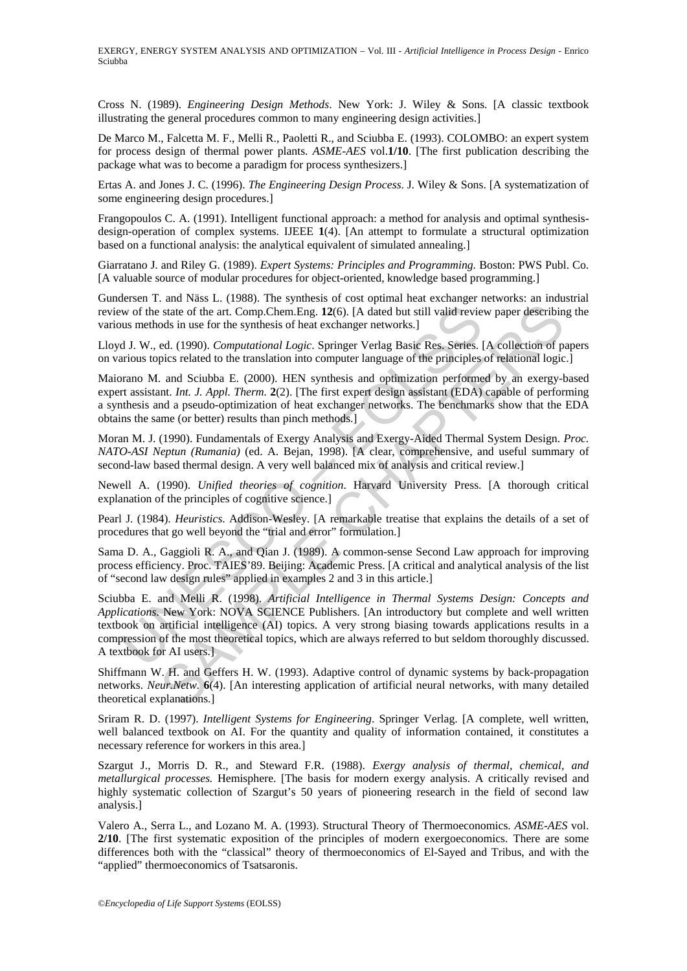Cross N. (1989). *Engineering Design Methods*. New York: J. Wiley & Sons. [A classic textbook illustrating the general procedures common to many engineering design activities.]

De Marco M., Falcetta M. F., Melli R., Paoletti R., and Sciubba E. (1993). COLOMBO: an expert system for process design of thermal power plants. *ASME-AES* vol.**1/10**. [The first publication describing the package what was to become a paradigm for process synthesizers.]

Ertas A. and Jones J. C. (1996). *The Engineering Design Process*. J. Wiley & Sons. [A systematization of some engineering design procedures.]

Frangopoulos C. A. (1991). Intelligent functional approach: a method for analysis and optimal synthesisdesign-operation of complex systems. IJEEE **1**(4). [An attempt to formulate a structural optimization based on a functional analysis: the analytical equivalent of simulated annealing.]

Giarratano J. and Riley G. (1989). *Expert Systems: Principles and Programming.* Boston: PWS Publ. Co. [A valuable source of modular procedures for object-oriented, knowledge based programming.]

Gundersen T. and Näss L. (1988). The synthesis of cost optimal heat exchanger networks: an industrial review of the state of the art. Comp.Chem.Eng. **12**(6). [A dated but still valid review paper describing the various methods in use for the synthesis of heat exchanger networks.]

Lloyd J. W., ed. (1990). *Computational Logic*. Springer Verlag Basic Res. Series. [A collection of papers on various topics related to the translation into computer language of the principles of relational logic.]

Maiorano M. and Sciubba E. (2000). HEN synthesis and optimization performed by an exergy-based expert assistant. *Int. J. Appl. Therm.* **2**(2). [The first expert design assistant (EDA) capable of performing a synthesis and a pseudo-optimization of heat exchanger networks. The benchmarks show that the EDA obtains the same (or better) results than pinch methods.]

Moran M. J. (1990). Fundamentals of Exergy Analysis and Exergy-Aided Thermal System Design. *Proc. NATO-ASI Neptun (Rumania)* (ed. A. Bejan, 1998). [A clear, comprehensive, and useful summary of second-law based thermal design. A very well balanced mix of analysis and critical review.]

Newell A. (1990). *Unified theories of cognition*. Harvard University Press. [A thorough critical explanation of the principles of cognitive science.]

Pearl J. (1984). *Heuristics*. Addison-Wesley. [A remarkable treatise that explains the details of a set of procedures that go well beyond the "trial and error" formulation.]

Sama D. A., Gaggioli R. A., and Qian J. (1989). A common-sense Second Law approach for improving process efficiency. Proc. TAIES'89. Beijing: Academic Press. [A critical and analytical analysis of the list of "second law design rules" applied in examples 2 and 3 in this article.]

w of the state of the art. Comp.Chem.Eng. 12(6). [A dated but still valid reviews methods in use for the synthesis of heat exchanger networks.]<br>
d.J. W., ed. (1990). *Computational Logic*. Springer Verlag Basic Res. Series state of the att. Comp. Chem. Eng. 22(6). [A dated but still valid review paper describing is state of the att. Comp. Chem. Eng. 22(6). [A dated but still valid review paper describing to the synthesis of heat exchanger n Sciubba E. and Melli R. (1998). *Artificial Intelligence in Thermal Systems Design: Concepts and Applications*. New York: NOVA SCIENCE Publishers. [An introductory but complete and well written textbook on artificial intelligence (AI) topics. A very strong biasing towards applications results in a compression of the most theoretical topics, which are always referred to but seldom thoroughly discussed. A textbook for AI users.]

Shiffmann W. H. and Geffers H. W. (1993). Adaptive control of dynamic systems by back-propagation networks. *Neur.Netw.* **6**(4). [An interesting application of artificial neural networks, with many detailed theoretical explanations.]

Sriram R. D. (1997). *Intelligent Systems for Engineering*. Springer Verlag. [A complete, well written, well balanced textbook on AI. For the quantity and quality of information contained, it constitutes a necessary reference for workers in this area.]

Szargut J., Morris D. R., and Steward F.R. (1988). *Exergy analysis of thermal, chemical, and metallurgical processes.* Hemisphere. [The basis for modern exergy analysis. A critically revised and highly systematic collection of Szargut's 50 years of pioneering research in the field of second law analysis.]

Valero A., Serra L., and Lozano M. A. (1993). Structural Theory of Thermoeconomics. *ASME-AES* vol. **2/10**. [The first systematic exposition of the principles of modern exergoeconomics. There are some differences both with the "classical" theory of thermoeconomics of El-Sayed and Tribus, and with the "applied" thermoeconomics of Tsatsaronis.